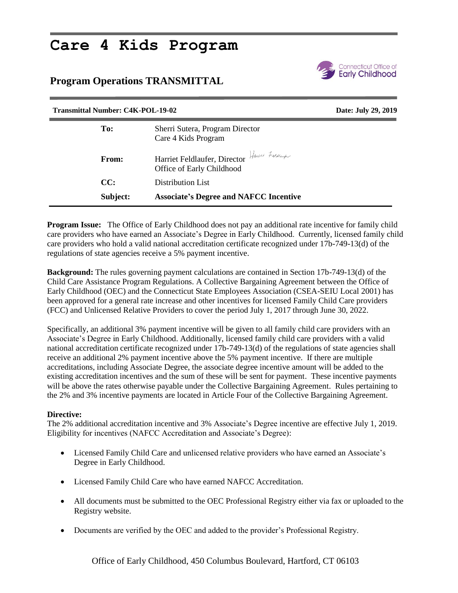## **Care 4 Kids Program**

## **Program Operations TRANSMITTAL**



| <b>Transmittal Number: C4K-POL-19-02</b> |                                                                            | Date: July 29, 2019 |
|------------------------------------------|----------------------------------------------------------------------------|---------------------|
| To:                                      | Sherri Sutera, Program Director<br>Care 4 Kids Program                     |                     |
| From:                                    | Harriet Feldlaufer, Director Hasset Foldlamps<br>Office of Early Childhood |                     |
| CC:                                      | Distribution List                                                          |                     |
| Subject:                                 | <b>Associate's Degree and NAFCC Incentive</b>                              |                     |

**Program Issue:** The Office of Early Childhood does not pay an additional rate incentive for family child care providers who have earned an Associate's Degree in Early Childhood. Currently, licensed family child care providers who hold a valid national accreditation certificate recognized under 17b-749-13(d) of the regulations of state agencies receive a 5% payment incentive.

**Background:** The rules governing payment calculations are contained in Section 17b-749-13(d) of the Child Care Assistance Program Regulations. A Collective Bargaining Agreement between the Office of Early Childhood (OEC) and the Connecticut State Employees Association (CSEA-SEIU Local 2001) has been approved for a general rate increase and other incentives for licensed Family Child Care providers (FCC) and Unlicensed Relative Providers to cover the period July 1, 2017 through June 30, 2022.

Specifically, an additional 3% payment incentive will be given to all family child care providers with an Associate's Degree in Early Childhood. Additionally, licensed family child care providers with a valid national accreditation certificate recognized under 17b-749-13(d) of the regulations of state agencies shall receive an additional 2% payment incentive above the 5% payment incentive. If there are multiple accreditations, including Associate Degree, the associate degree incentive amount will be added to the existing accreditation incentives and the sum of these will be sent for payment. These incentive payments will be above the rates otherwise payable under the Collective Bargaining Agreement. Rules pertaining to the 2% and 3% incentive payments are located in Article Four of the Collective Bargaining Agreement.

## **Directive:**

The 2% additional accreditation incentive and 3% Associate's Degree incentive are effective July 1, 2019. Eligibility for incentives (NAFCC Accreditation and Associate's Degree):

- Licensed Family Child Care and unlicensed relative providers who have earned an Associate's Degree in Early Childhood.
- Licensed Family Child Care who have earned NAFCC Accreditation.
- All documents must be submitted to the OEC Professional Registry either via fax or uploaded to the Registry website.
- Documents are verified by the OEC and added to the provider's Professional Registry.